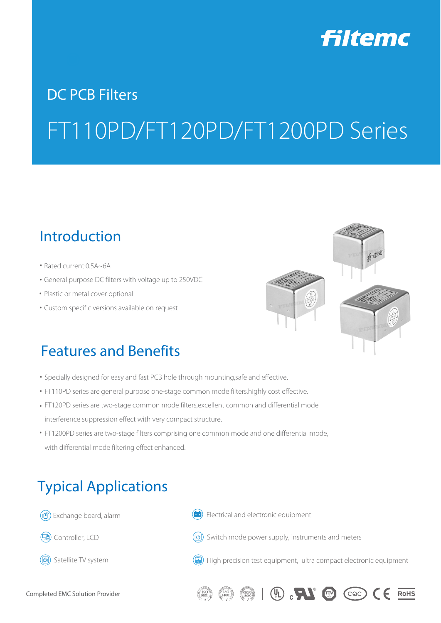

# DC PCB Filters FT110PD/FT120PD/FT1200PD Series

## Introduction

- Rated current: 0.5A~6A
- General purpose DC filters with voltage up to 250VDC ⒩
- Plastic or metal cover optional
- Custom specific versions available on request ⒩



# Features and Benefits

- Specially designed for easy and fast PCB hole through mounting,safe and effective.
- FT110PD series are general purpose one-stage common mode filters, highly cost effective.
- FT120PD series are two-stage common mode filters,excellent common and differential mode ⒩ interference suppression effect with very compact structure.
- FT1200PD series are two-stage filters comprising one common mode and one differential mode, ⒩ with differential mode filtering effect enhanced.

# Typical Applications

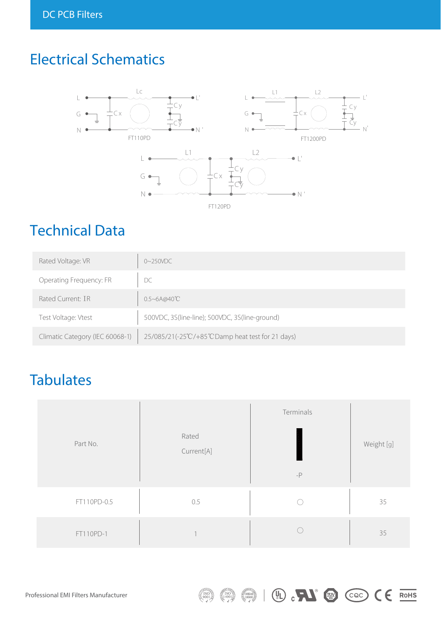# Electrical Schematics



# Technical Data

| Rated Voltage: VR               | $0\sim250$ VDC                                   |
|---------------------------------|--------------------------------------------------|
| Operating Frequency: FR         | DC                                               |
| Rated Current: IR               | $0.5 - 6A@40^{\circ}\text{C}$                    |
| Test Voltage: Vtest             | 500VDC, 3S(line-line); 500VDC, 3S(line-ground)   |
| Climatic Category (IEC 60068-1) | 25/085/21(-25°C/+85°CDamp heat test for 21 days) |

# **Tabulates**

| Part No.    | Rated<br>Current[A] | Terminals<br>$-P$ | Weight [g] |
|-------------|---------------------|-------------------|------------|
| FT110PD-0.5 | 0.5                 |                   | 35         |
| FT110PD-1   |                     |                   | 35         |

(D. RI @ COO CE ROHS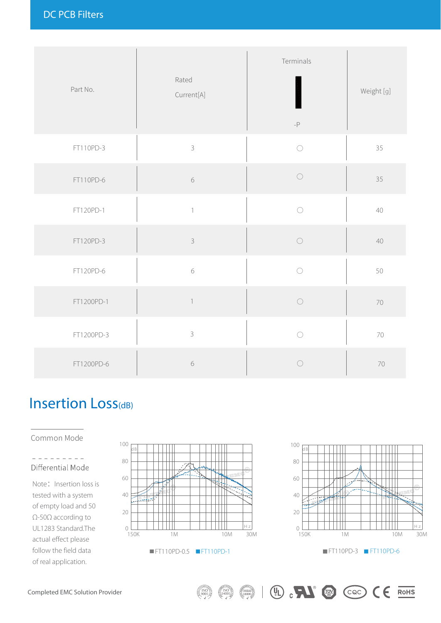| Part No.   | Rated<br>Current[A]       | Terminals<br>$\textnormal{-}\mathsf{P}$ | Weight [g] |
|------------|---------------------------|-----------------------------------------|------------|
| FT110PD-3  | $\mathsf{3}$              | $\bigcirc$                              | 35         |
| FT110PD-6  | $\sqrt{6}$                | $\bigcirc$                              | 35         |
| FT120PD-1  | $\overline{1}$            | $\bigcirc$                              | 40         |
| FT120PD-3  | $\mathcal{S}$             | $\bigcirc$                              | 40         |
| FT120PD-6  | $\,$ $\,$ $\,$            | $\bigcap$                               | 50         |
| FT1200PD-1 | $\ensuremath{\mathsf{1}}$ | $\bigcirc$                              | 70         |
| FT1200PD-3 | $\mathsf 3$               | $\bigcirc$                              | 70         |
| FT1200PD-6 | $\,$ $\,$ $\,$            | ◯                                       | 70         |

# Insertion Loss<sub>(dB)</sub>

Common Mode

#### Differential Mode

Note: Insertion loss is tested with a system of empty load and 50 Ω-50Ω according to UL1283 Standard.The actual effect please follow the field data of real application.





 $\mathbb{R}$  (0)  $\mathbb{C}$  (coc)  $\mathbb{C}$  (exists)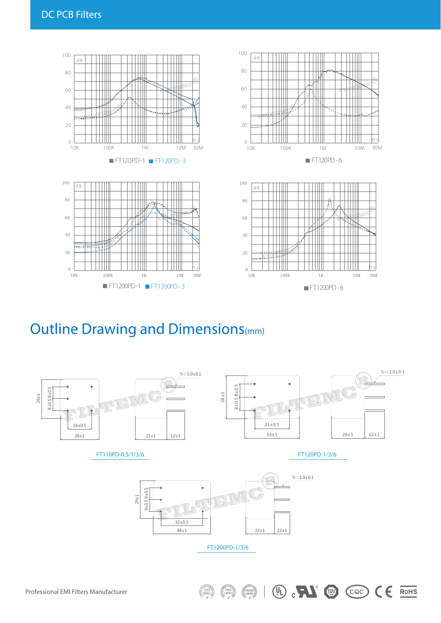

### Outline Drawing and Dimensions(mm)



 $\mathbb{C}$   $\mathbb{N}$   $\mathbb{C}$   $\mathbb{C}$   $\mathbb{C}$ 

 $\epsilon$ 

RoHS

 $\left(\begin{matrix} 0 \\ 1 \end{matrix}\right)$ 

 $\begin{pmatrix} 0 & 0 & 0 \\ 0 & 0 & 0 \\ 0 & 0 & 0 \\ 0 & 0 & 0 \end{pmatrix}$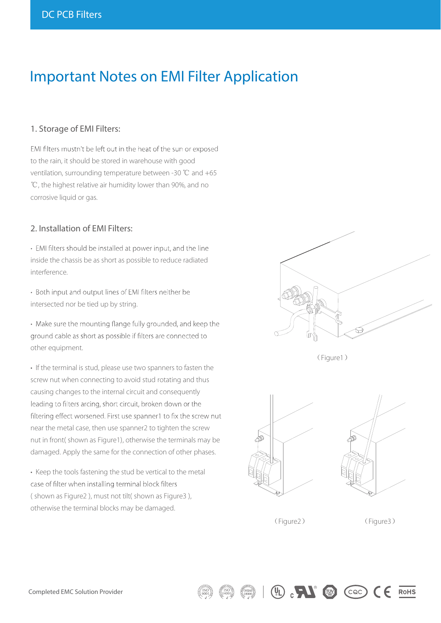### Important Notes on EMI Filter Application

### 1. Storage of EMI Filters:

EMI filters mustn't be left out in the heat of the sun or exposed to the rain, it should be stored in warehouse with good ventilation, surrounding temperature between -30 ℃ and +65 ℃, the highest relative air humidity lower than 90%, and no corrosive liquid or gas.

#### 2. Installation of EMI Filters:

• EMI filters should be installed at power input, and the line inside the chassis be as short as possible to reduce radiated interference.

• Both input and output lines of EMI filters neither be intersected nor be tied up by string.

• Make sure the mounting flange fully grounded, and keep the ground cable as short as possible if filters are connected to other equipment.

• If the terminal is stud, please use two spanners to fasten the screw nut when connecting to avoid stud rotating and thus causing changes to the internal circuit and consequently leading to filters arcing, short circuit, broken down or the filtering effect worsened. First use spanner1 to fix the screw nut near the metal case, then use spanner2 to tighten the screw nut in front( shown as Figure1), otherwise the terminals may be damaged. Apply the same for the connection of other phases.

• Keep the tools fastening the stud be vertical to the metal case of filter when installing terminal block filters ( shown as Figure2 ), must not tilt( shown as Figure3 ), otherwise the terminal blocks may be damaged.



(Figure1)





(Figure2) (Figure3)

 $(\mathbb{L})$   $\mathbb{L}$   $(\mathbb{L})$   $(\mathbb{C})$   $(\mathbb{C})$ 

**RoHS**